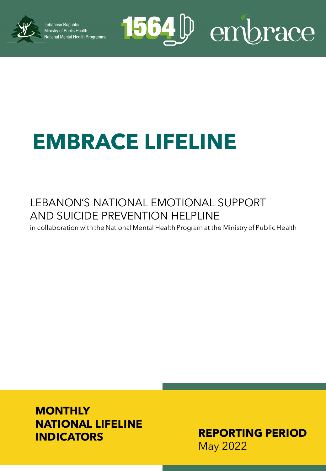

Lebanese Republic Ministry of Public Health Mational Mental Health Programme

# 1564 D embrace

## **EMBRACE LIFELINE**

#### LEBANON'S NATIONAL EMOTIONAL SUPPORT AND SUICIDE PREVENTION HELPLINE

in collaboration with the National Mental Health Program at the Ministry of Public Health

**MONTHLY NATIONAL LIFELINE INDICATORS**

**REPORTING PERIOD**  May 2022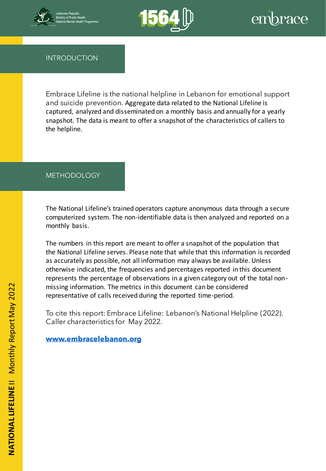



#### INTRODUCTION

Embrace Lifeline is the national helpline in Lebanon for emotional support and suicide prevention. Aggregate data related to the National Lifeline is captured, analyzed and disseminated on a monthly basis and annually for a yearly snapshot. The data is meant to offer a snapshot of the characteristics of callers to the helpline.

#### **METHODOLOGY**

computerized system. The non-identifiable data is then analyzed and reported on a The National Lifeline's trained operators capture anonymous data through a secure monthly basis.

The numbers in this report are meant to offer a snapshot of the population that the National Lifeline serves. Please note that while that this information is recorded as accurately as possible, not all information may always be available. Unless otherwise indicated, the frequencies and percentages reported in this document represents the percentage of observations in a given category out of the total nonmissing information. The metrics in this document can be considered representative of calls received during the reported time-period.

To cite this report: Embrace Lifeline: Lebanon's National Helpline (2022). Caller characteristics for May 2022.

#### **[www.embracelebanon.org](http://www.embracelebanon.org/)**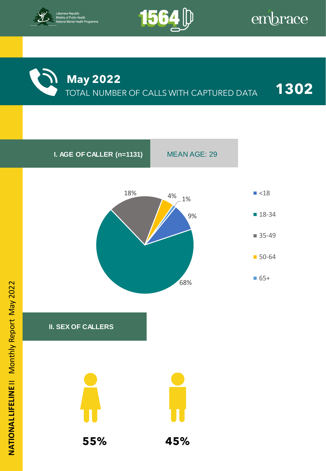



**May 2022** TOTAL NUMBER OF CALLS WITH CAPTURED DATA **1302**

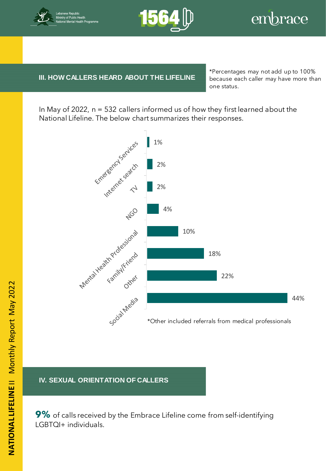



#### **III. HOW CALLERS HEARD ABOUT THE LIFELINE**

**IV. BENEFICIARY INFORMATION**

\*Percentages may not add up to 100% because each caller may have more than one status.

In May of 2022, n = 532 callers informed us of how they first learned about the National Lifeline. The below chart summarizes their responses.



#### **IV. SEXUAL ORIENTATION OF CALLERS**

**9%** of calls received by the Embrace Lifeline come from self-identifying LGBTQI+ individuals.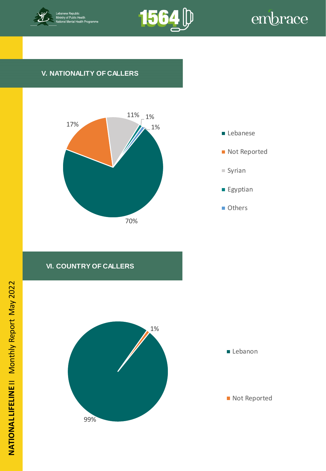



#### **V. NATIONALITY OF CALLERS**





 $Syrian$ 

**Egyptian** 

Others

#### **VI. COUNTRY OF CALLERS**

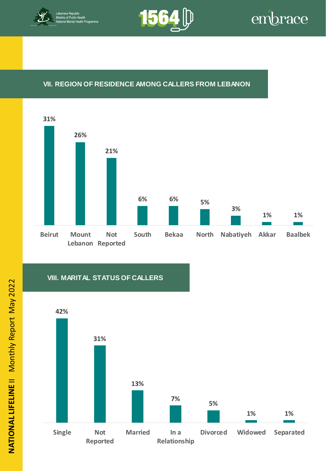



#### **VII. REGION OF RESIDENCE AMONG CALLERS FROM LEBANON**



#### **VIII. MARITAL STATUS OF CALLERS**

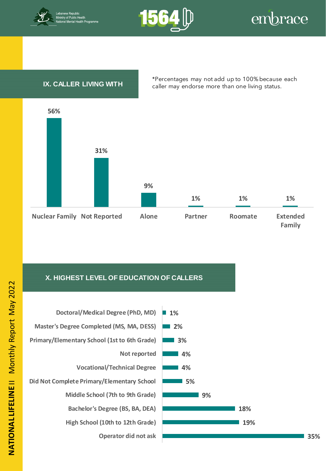



#### **IX. CALLER LIVING WITH**

\*Percentages may not add up to 100% because each caller may endorse more than one living status.



#### **X. HIGHEST LEVEL OF EDUCATION OF CALLERS**





**35%**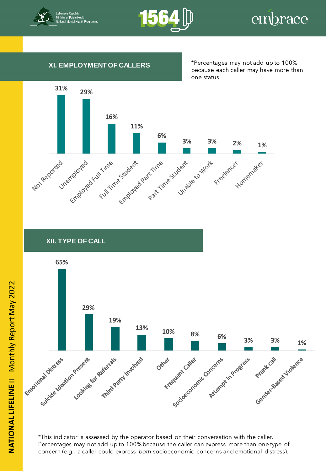



**XI. EMPLOYMENT OF CALLERS**

\*Percentages may not add up to 100% because each caller may have more than one status.



**XII. CHANGE IN LEVEL OF DISTRESS FROM BEGINNING TO END OF** 

**XII. TYPE OF CALL** 



\*This indicator is assessed by the operator based on their conversation with the caller. Percentages may not add up to 100% because the caller can express more than one type of concern (e.g., a caller could express *both* socioeconomic concerns and emotional distress).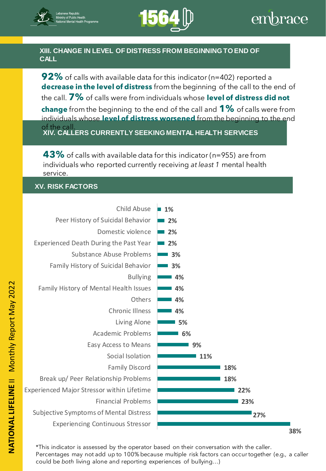



#### **XIII. CHANGE IN LEVEL OF DISTRESS FROM BEGINNING TO END OF CALL**

**92%** of calls with available data for this indicator (n=402) reported a **decrease in the level of distress** from the beginning of the call to the end of the call. **7%** of calls were from individuals whose **level of distress did not change** from the beginning to the end of the call and **1%** of calls were from individuals whose **level of distress worsened** from the beginning to the end of the call. **XIV. CALLERS CURRENTLY SEEKING MENTAL HEALTH SERVICES**

**43%** of calls with available data for this indicator (n=955) are from individuals who reported currently receiving *at least 1* mental health service.

#### **XV. RISK FACTORS**



\*This indicator is assessed by the operator based on their conversation with the caller. Percentages may not add up to 100% because multiple risk factors can occur together (e.g., a caller could be *both* living alone and reporting experiences of bullying…)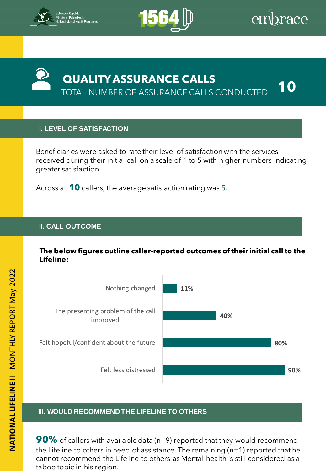![](_page_9_Picture_0.jpeg)

![](_page_9_Picture_1.jpeg)

![](_page_9_Picture_3.jpeg)

#### **QUALITY ASSURANCE CALLS** TOTAL NUMBER OF ASSURANCE CALLS CONDUCTED **10**

#### **I. LEVEL OF SATISFACTION**

Beneficiaries were asked to rate their level of satisfaction with the services received during their initial call on a scale of 1 to 5 with higher numbers indicating greater satisfaction.

Across all **10** callers, the average satisfaction rating was 5.

#### **II. CALL OUTCOME**

#### **The below figures outline caller-reported outcomes of their initial call to the Lifeline:**

![](_page_9_Figure_10.jpeg)

#### **III. WOULD RECOMMEND THE LIFELINE TO OTHERS**

**90%** of callers with available data (n=9) reported that they would recommend the Lifeline to others in need of assistance. The remaining (n=1) reported that he cannot recommend the Lifeline to others as Mental health is still considered as a taboo topic in his region.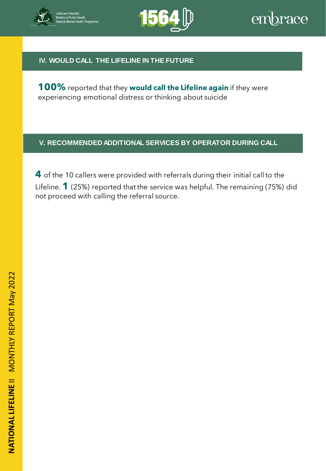![](_page_10_Picture_0.jpeg)

![](_page_10_Picture_1.jpeg)

#### **IV. WOULD CALL THE LIFELINE IN THE FUTURE**

**100%** reported that they **would call the Lifeline again** if they were experiencing emotional distress or thinking about suicide

#### **V. RECOMMENDED ADDITIONAL SERVICES BY OPERATOR DURING CALL**

**4** of the 10 callers were provided with referrals during their initial call to the Lifeline. **1** (25%) reported that the service was helpful. The remaining (75%) did not proceed with calling the referral source.